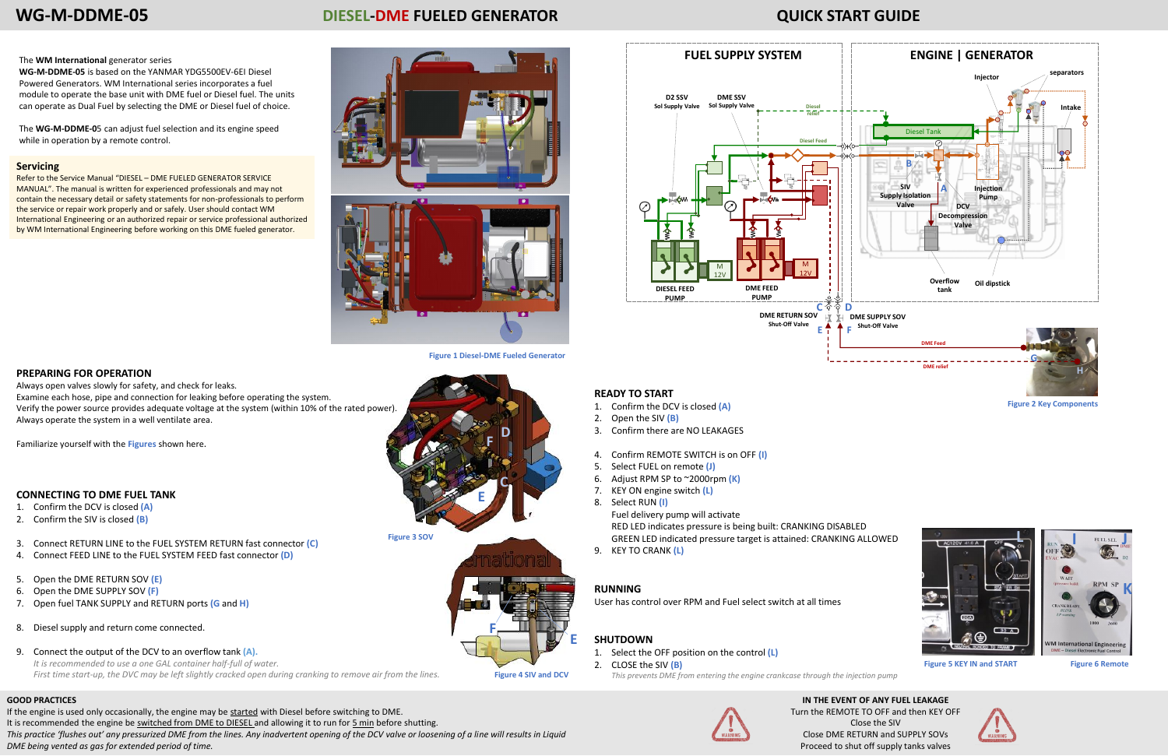

**Figure 4 SIV and DCV**

**C**

**E**

**D F**

**Figure 3 SOV**

## **PREPARING FOR OPERATION**

Always open valves slowly for safety, and check for leaks. Examine each hose, pipe and connection for leaking before operating the system. Verify the power source provides adequate voltage at the system (within 10% of the rated power). Always operate the system in a well ventilate area.

Familiarize yourself with the **Figures** shown here.

## **CONNECTING TO DME FUEL TANK**

- 1. Confirm the DCV is closed **(A)**
- 2. Confirm the SIV is closed **(B)**
- 3. Connect RETURN LINE to the FUEL SYSTEM RETURN fast connector **(C)**
- 4. Connect FEED LINE to the FUEL SYSTEM FEED fast connector **(D)**
- 5. Open the DME RETURN SOV **(E)**
- 6. Open the DME SUPPLY SOV **(F)**
- 7. Open fuel TANK SUPPLY and RETURN ports **(G** and **H)**
- 8. Diesel supply and return come connected.
- 9. Connect the output of the DCV to an overflow tank **(A).** *It is recommended to use a one GAL container half-full of water. First time start-up, the DVC may be left slightly cracked open during cranking to remove air from the lines.*

# **WG-M-DDME-05 DIESEL-DME FUELED GENERATOR QUICK START GUIDE**

# **Servicing**

Refer to the Service Manual "DIESEL – DME FUELED GENERATOR SERVICE MANUAL". The manual is written for experienced professionals and may not contain the necessary detail or safety statements for non-professionals to perform the service or repair work properly and or safely. User should contact WM International Engineering or an authorized repair or service professional authorized by WM International Engineering before working on this DME fueled generator.

# The **WM International** generator series

**WG-M-DDME-05** is based on the YANMAR YDG5500EV-6EI Diesel Powered Generators. WM International series incorporates a fuel module to operate the base unit with DME fuel or Diesel fuel. The units can operate as Dual Fuel by selecting the DME or Diesel fuel of choice.

If the engine is used only occasionally, the engine may be started with Diesel before switching to DME. It is recommended the engine be switched from DME to DIESEL and allowing it to run for 5 min before shutting. *This practice 'flushes out' any pressurized DME from the lines. Any inadvertent opening of the DCV valve or loosening of a line will results in Liquid DME being vented as gas for extended period of time.* 

The **WG-M-DDME-0**5 can adjust fuel selection and its engine speed while in operation by a remote control.



**Figure 1 Diesel-DME Fueled Generator**

## **READY TO START**

- 1. Confirm the DCV is closed **(A)**
- 2. Open the SIV **(B)**
- 3. Confirm there are NO LEAKAGES
- 4. Confirm REMOTE SWITCH is on OFF **(I)**
- 5. Select FUEL on remote **(J)**
- 6. Adjust RPM SP to ~2000rpm **(K)**
- 7. KEY ON engine switch **(L)**
- 8. Select RUN **(I)**

Fuel delivery pump will activate RED LED indicates pressure is being built: CRANKING DISABLED GREEN LED indicated pressure target is attained: CRANKING ALLOWED

9. KEY TO CRANK **(L)**

## **RUNNING**

User has control over RPM and Fuel select switch at all times

# **SHUTDOWN**

- 1. Select the OFF position on the control **(L)**
- 2. CLOSE the SIV **(B)**
	- *This prevents DME from entering the engine crankcase through the injection pump*







**Figure 2 Key Components**



**Figure 5 KEY IN and START Figure 6 Remote**

### **GOOD PRACTICES**

# **IN THE EVENT OF ANY FUEL LEAKAGE**

Turn the REMOTE TO OFF and then KEY OFF Close the SIV Close DME RETURN and SUPPLY SOVs Proceed to shut off supply tanks valves